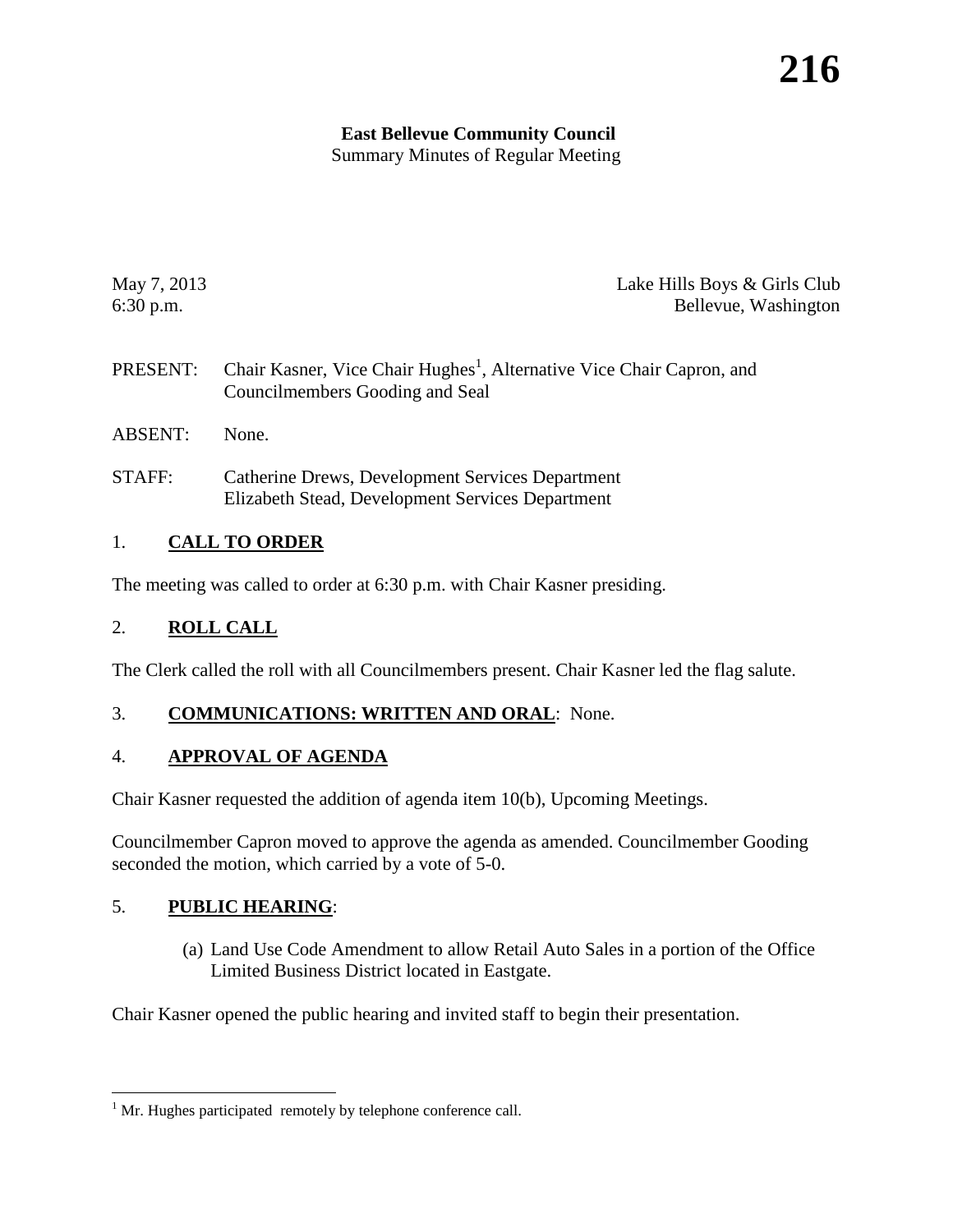# **East Bellevue Community Council**

Summary Minutes of Regular Meeting

May 7, 2013 **Lake Hills Boys & Girls Club** 6:30 p.m. Bellevue, Washington

- PRESENT: Chair Kasner, Vice Chair Hughes<sup>[1](#page-0-0)</sup>, Alternative Vice Chair Capron, and Councilmembers Gooding and Seal
- ABSENT: None.
- STAFF: Catherine Drews, Development Services Department Elizabeth Stead, Development Services Department

# 1. **CALL TO ORDER**

The meeting was called to order at 6:30 p.m. with Chair Kasner presiding.

## 2. **ROLL CALL**

The Clerk called the roll with all Councilmembers present. Chair Kasner led the flag salute.

## 3. **COMMUNICATIONS: WRITTEN AND ORAL**: None.

## 4. **APPROVAL OF AGENDA**

Chair Kasner requested the addition of agenda item 10(b), Upcoming Meetings.

Councilmember Capron moved to approve the agenda as amended. Councilmember Gooding seconded the motion, which carried by a vote of 5-0.

## 5. **PUBLIC HEARING**:

(a) Land Use Code Amendment to allow Retail Auto Sales in a portion of the Office Limited Business District located in Eastgate.

Chair Kasner opened the public hearing and invited staff to begin their presentation.

<span id="page-0-0"></span><sup>&</sup>lt;sup>1</sup> Mr. Hughes participated remotely by telephone conference call.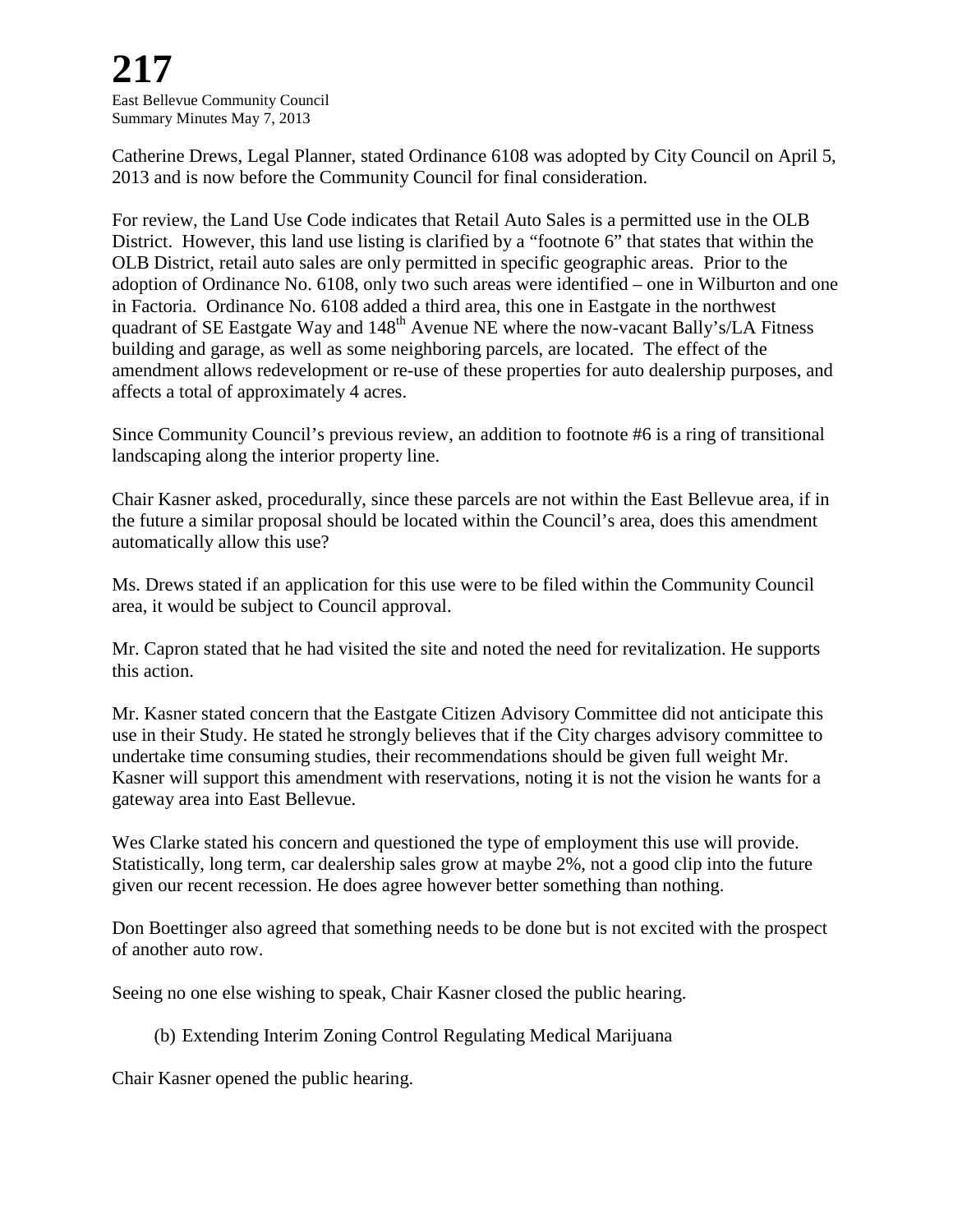**217** East Bellevue Community Council Summary Minutes May 7, 2013

Catherine Drews, Legal Planner, stated Ordinance 6108 was adopted by City Council on April 5, 2013 and is now before the Community Council for final consideration.

For review, the Land Use Code indicates that Retail Auto Sales is a permitted use in the OLB District. However, this land use listing is clarified by a "footnote 6" that states that within the OLB District, retail auto sales are only permitted in specific geographic areas. Prior to the adoption of Ordinance No. 6108, only two such areas were identified – one in Wilburton and one in Factoria. Ordinance No. 6108 added a third area, this one in Eastgate in the northwest quadrant of SE Eastgate Way and  $148<sup>th</sup>$  Avenue NE where the now-vacant Bally's/LA Fitness building and garage, as well as some neighboring parcels, are located. The effect of the amendment allows redevelopment or re-use of these properties for auto dealership purposes, and affects a total of approximately 4 acres.

Since Community Council's previous review, an addition to footnote #6 is a ring of transitional landscaping along the interior property line.

Chair Kasner asked, procedurally, since these parcels are not within the East Bellevue area, if in the future a similar proposal should be located within the Council's area, does this amendment automatically allow this use?

Ms. Drews stated if an application for this use were to be filed within the Community Council area, it would be subject to Council approval.

Mr. Capron stated that he had visited the site and noted the need for revitalization. He supports this action.

Mr. Kasner stated concern that the Eastgate Citizen Advisory Committee did not anticipate this use in their Study. He stated he strongly believes that if the City charges advisory committee to undertake time consuming studies, their recommendations should be given full weight Mr. Kasner will support this amendment with reservations, noting it is not the vision he wants for a gateway area into East Bellevue.

Wes Clarke stated his concern and questioned the type of employment this use will provide. Statistically, long term, car dealership sales grow at maybe 2%, not a good clip into the future given our recent recession. He does agree however better something than nothing.

Don Boettinger also agreed that something needs to be done but is not excited with the prospect of another auto row.

Seeing no one else wishing to speak, Chair Kasner closed the public hearing.

(b) Extending Interim Zoning Control Regulating Medical Marijuana

Chair Kasner opened the public hearing.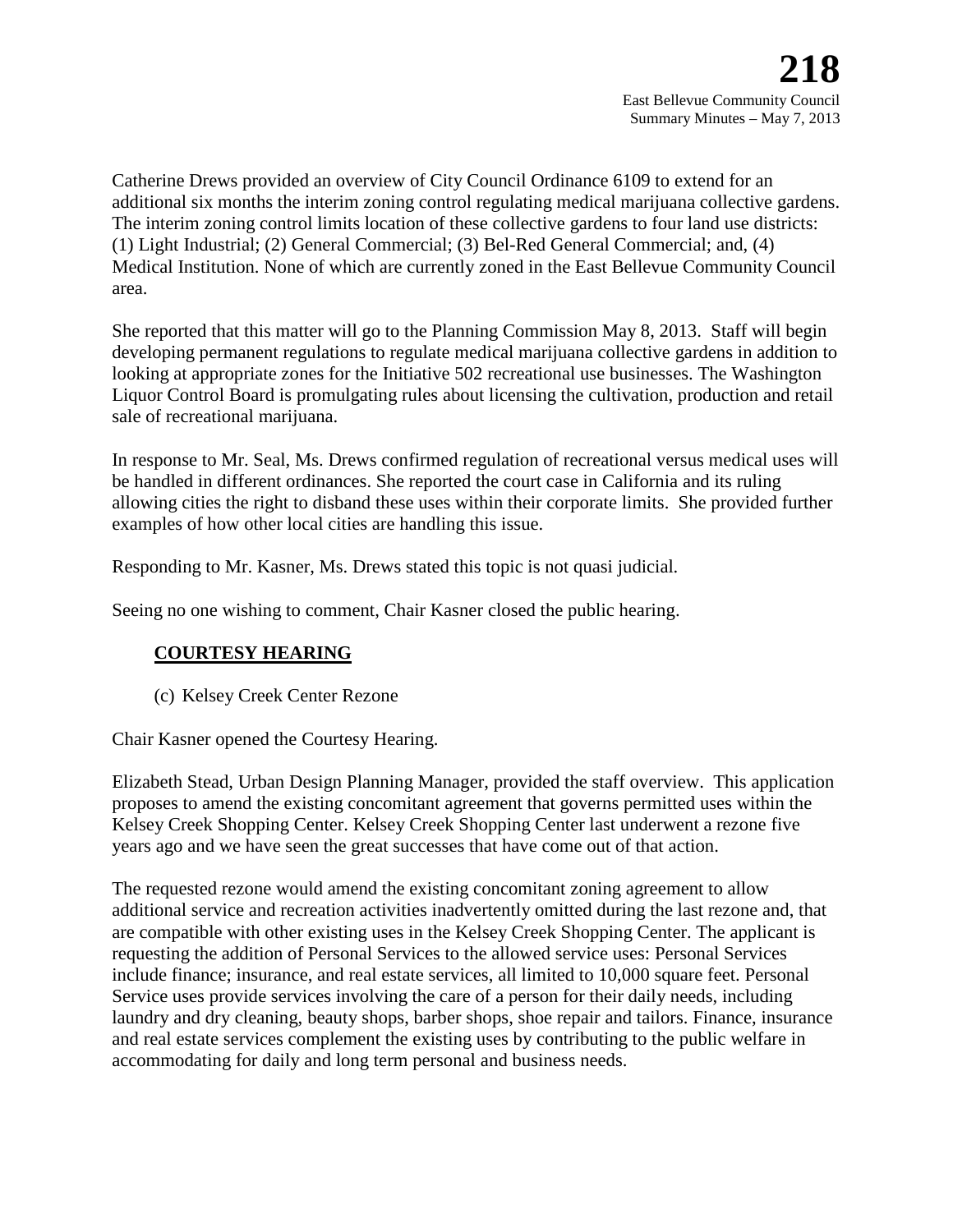Catherine Drews provided an overview of City Council Ordinance 6109 to extend for an additional six months the interim zoning control regulating medical marijuana collective gardens. The interim zoning control limits location of these collective gardens to four land use districts: (1) Light Industrial; (2) General Commercial; (3) Bel-Red General Commercial; and, (4) Medical Institution. None of which are currently zoned in the East Bellevue Community Council area.

She reported that this matter will go to the Planning Commission May 8, 2013. Staff will begin developing permanent regulations to regulate medical marijuana collective gardens in addition to looking at appropriate zones for the Initiative 502 recreational use businesses. The Washington Liquor Control Board is promulgating rules about licensing the cultivation, production and retail sale of recreational marijuana.

In response to Mr. Seal, Ms. Drews confirmed regulation of recreational versus medical uses will be handled in different ordinances. She reported the court case in California and its ruling allowing cities the right to disband these uses within their corporate limits. She provided further examples of how other local cities are handling this issue.

Responding to Mr. Kasner, Ms. Drews stated this topic is not quasi judicial.

Seeing no one wishing to comment, Chair Kasner closed the public hearing.

## **COURTESY HEARING**

(c) Kelsey Creek Center Rezone

Chair Kasner opened the Courtesy Hearing.

Elizabeth Stead, Urban Design Planning Manager, provided the staff overview. This application proposes to amend the existing concomitant agreement that governs permitted uses within the Kelsey Creek Shopping Center. Kelsey Creek Shopping Center last underwent a rezone five years ago and we have seen the great successes that have come out of that action.

The requested rezone would amend the existing concomitant zoning agreement to allow additional service and recreation activities inadvertently omitted during the last rezone and, that are compatible with other existing uses in the Kelsey Creek Shopping Center. The applicant is requesting the addition of Personal Services to the allowed service uses: Personal Services include finance; insurance, and real estate services, all limited to 10,000 square feet. Personal Service uses provide services involving the care of a person for their daily needs, including laundry and dry cleaning, beauty shops, barber shops, shoe repair and tailors. Finance, insurance and real estate services complement the existing uses by contributing to the public welfare in accommodating for daily and long term personal and business needs.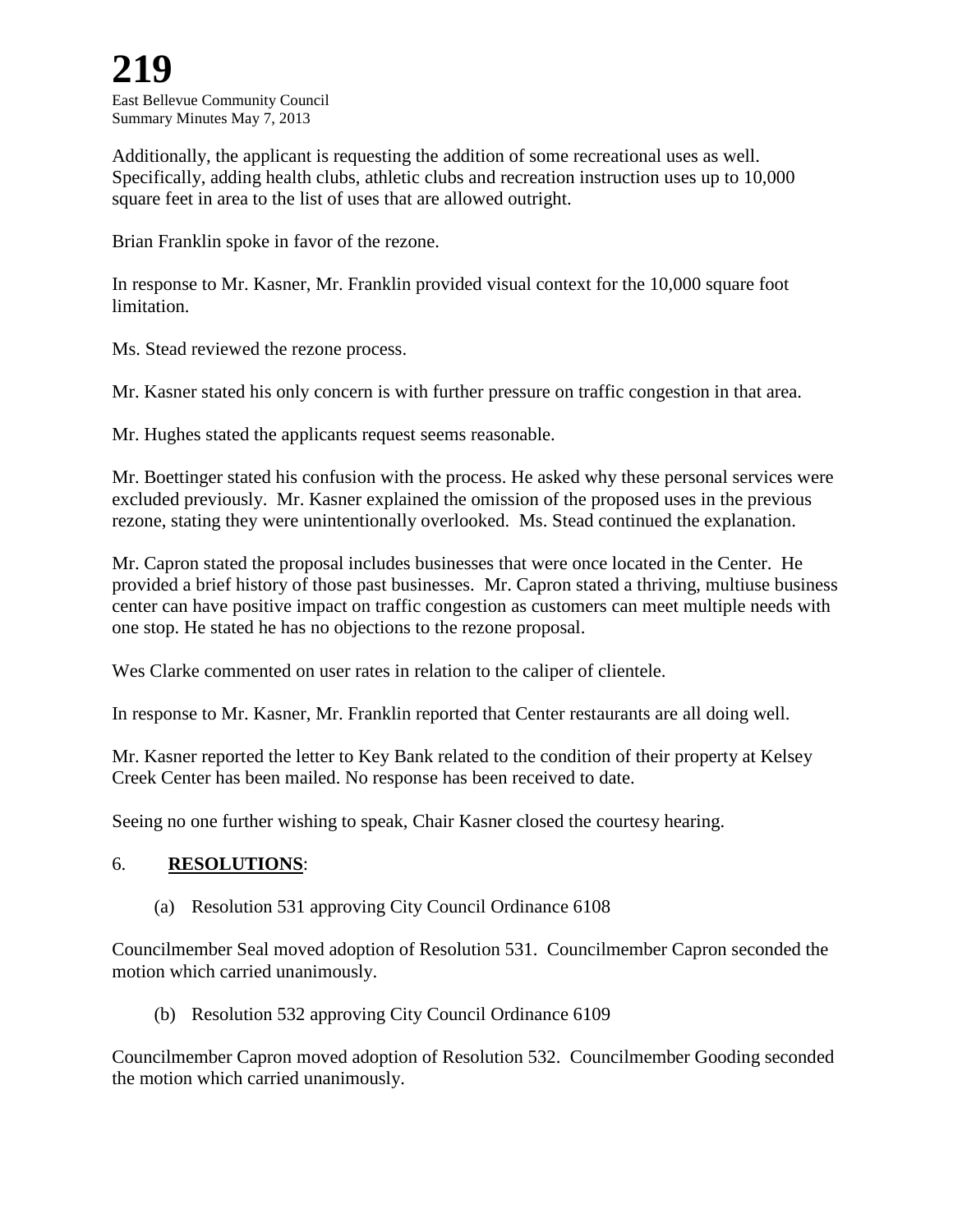East Bellevue Community Council Summary Minutes May 7, 2013

Additionally, the applicant is requesting the addition of some recreational uses as well. Specifically, adding health clubs, athletic clubs and recreation instruction uses up to 10,000 square feet in area to the list of uses that are allowed outright.

Brian Franklin spoke in favor of the rezone.

In response to Mr. Kasner, Mr. Franklin provided visual context for the 10,000 square foot limitation.

Ms. Stead reviewed the rezone process.

Mr. Kasner stated his only concern is with further pressure on traffic congestion in that area.

Mr. Hughes stated the applicants request seems reasonable.

Mr. Boettinger stated his confusion with the process. He asked why these personal services were excluded previously. Mr. Kasner explained the omission of the proposed uses in the previous rezone, stating they were unintentionally overlooked. Ms. Stead continued the explanation.

Mr. Capron stated the proposal includes businesses that were once located in the Center. He provided a brief history of those past businesses. Mr. Capron stated a thriving, multiuse business center can have positive impact on traffic congestion as customers can meet multiple needs with one stop. He stated he has no objections to the rezone proposal.

Wes Clarke commented on user rates in relation to the caliper of clientele.

In response to Mr. Kasner, Mr. Franklin reported that Center restaurants are all doing well.

Mr. Kasner reported the letter to Key Bank related to the condition of their property at Kelsey Creek Center has been mailed. No response has been received to date.

Seeing no one further wishing to speak, Chair Kasner closed the courtesy hearing.

#### 6. **RESOLUTIONS**:

(a) Resolution 531 approving City Council Ordinance 6108

Councilmember Seal moved adoption of Resolution 531. Councilmember Capron seconded the motion which carried unanimously.

(b) Resolution 532 approving City Council Ordinance 6109

Councilmember Capron moved adoption of Resolution 532. Councilmember Gooding seconded the motion which carried unanimously.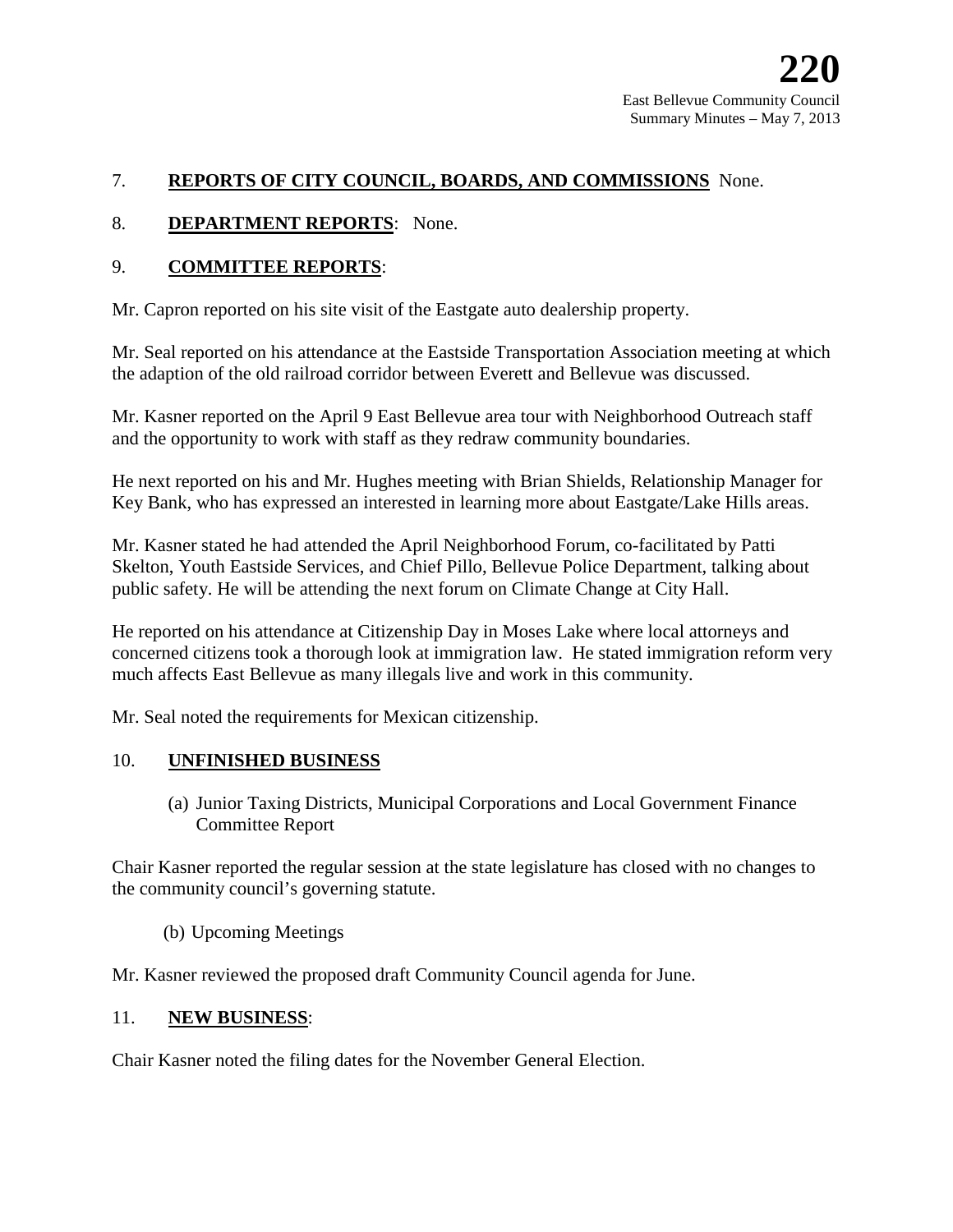### 7. **REPORTS OF CITY COUNCIL, BOARDS, AND COMMISSIONS** None.

#### 8. **DEPARTMENT REPORTS**: None.

#### 9. **COMMITTEE REPORTS**:

Mr. Capron reported on his site visit of the Eastgate auto dealership property.

Mr. Seal reported on his attendance at the Eastside Transportation Association meeting at which the adaption of the old railroad corridor between Everett and Bellevue was discussed.

Mr. Kasner reported on the April 9 East Bellevue area tour with Neighborhood Outreach staff and the opportunity to work with staff as they redraw community boundaries.

He next reported on his and Mr. Hughes meeting with Brian Shields, Relationship Manager for Key Bank, who has expressed an interested in learning more about Eastgate/Lake Hills areas.

Mr. Kasner stated he had attended the April Neighborhood Forum, co-facilitated by Patti Skelton, Youth Eastside Services, and Chief Pillo, Bellevue Police Department, talking about public safety. He will be attending the next forum on Climate Change at City Hall.

He reported on his attendance at Citizenship Day in Moses Lake where local attorneys and concerned citizens took a thorough look at immigration law. He stated immigration reform very much affects East Bellevue as many illegals live and work in this community.

Mr. Seal noted the requirements for Mexican citizenship.

#### 10. **UNFINISHED BUSINESS**

(a) Junior Taxing Districts, Municipal Corporations and Local Government Finance Committee Report

Chair Kasner reported the regular session at the state legislature has closed with no changes to the community council's governing statute.

(b) Upcoming Meetings

Mr. Kasner reviewed the proposed draft Community Council agenda for June.

#### 11. **NEW BUSINESS**:

Chair Kasner noted the filing dates for the November General Election.